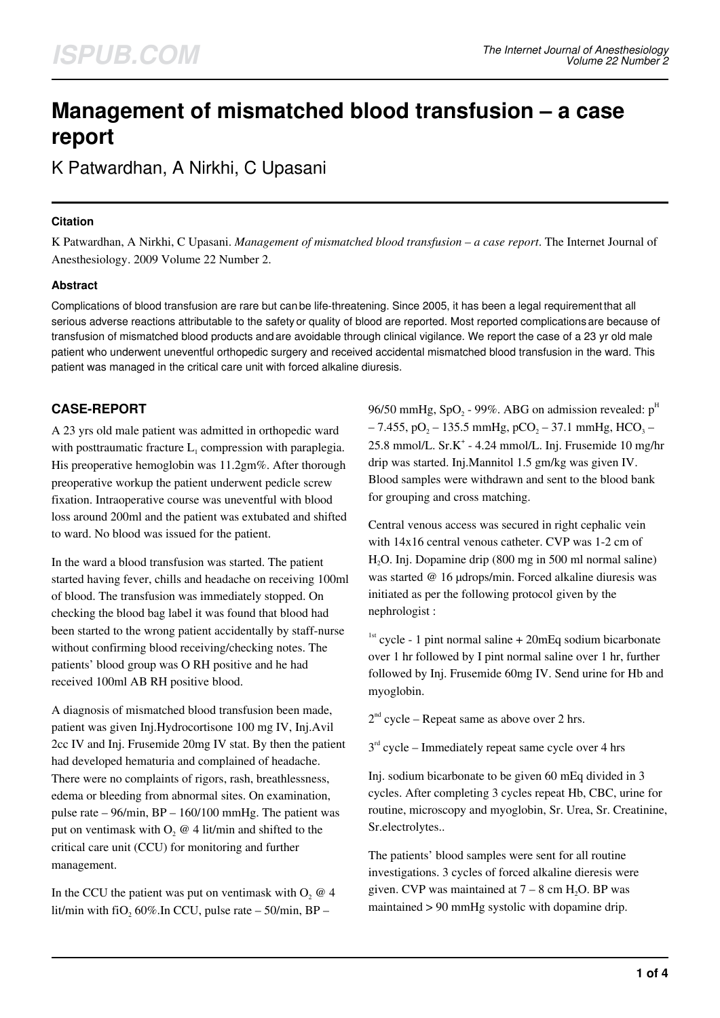# **Management of mismatched blood transfusion – a case report**

K Patwardhan, A Nirkhi, C Upasani

### **Citation**

K Patwardhan, A Nirkhi, C Upasani. *Management of mismatched blood transfusion – a case report*. The Internet Journal of Anesthesiology. 2009 Volume 22 Number 2.

## **Abstract**

Complications of blood transfusion are rare but can be life-threatening. Since 2005, it has been a legal requirement that all serious adverse reactions attributable to the safety or quality of blood are reported. Most reported complications are because of transfusion of mismatched blood products and are avoidable through clinical vigilance. We report the case of a 23 yr old male patient who underwent uneventful orthopedic surgery and received accidental mismatched blood transfusion in the ward. This patient was managed in the critical care unit with forced alkaline diuresis.

# **CASE-REPORT**

A 23 yrs old male patient was admitted in orthopedic ward with posttraumatic fracture  $L_1$  compression with paraplegia. His preoperative hemoglobin was 11.2gm%. After thorough preoperative workup the patient underwent pedicle screw fixation. Intraoperative course was uneventful with blood loss around 200ml and the patient was extubated and shifted to ward. No blood was issued for the patient.

In the ward a blood transfusion was started. The patient started having fever, chills and headache on receiving 100ml of blood. The transfusion was immediately stopped. On checking the blood bag label it was found that blood had been started to the wrong patient accidentally by staff-nurse without confirming blood receiving/checking notes. The patients' blood group was O RH positive and he had received 100ml AB RH positive blood.

A diagnosis of mismatched blood transfusion been made, patient was given Inj.Hydrocortisone 100 mg IV, Inj.Avil 2cc IV and Inj. Frusemide 20mg IV stat. By then the patient had developed hematuria and complained of headache. There were no complaints of rigors, rash, breathlessness, edema or bleeding from abnormal sites. On examination, pulse rate – 96/min, BP – 160/100 mmHg. The patient was put on ventimask with  $O_2 \otimes 4$  lit/min and shifted to the critical care unit (CCU) for monitoring and further management.

In the CCU the patient was put on ventimask with  $O_2 \otimes 4$ lit/min with fiO<sub>2</sub> 60%.In CCU, pulse rate  $-$  50/min, BP  $-$ 

96/50 mmHg, SpO<sub>2</sub> - 99%. ABG on admission revealed:  $p<sup>H</sup>$  $-7.455$ , pO<sub>2</sub>  $-135.5$  mmHg, pCO<sub>2</sub>  $-37.1$  mmHg, HCO<sub>3</sub>  $-$ 25.8 mmol/L. Sr.K<sup>+</sup> - 4.24 mmol/L. Inj. Frusemide 10 mg/hr drip was started. Inj.Mannitol 1.5 gm/kg was given IV. Blood samples were withdrawn and sent to the blood bank for grouping and cross matching.

Central venous access was secured in right cephalic vein with 14x16 central venous catheter. CVP was 1-2 cm of H2O. Inj. Dopamine drip (800 mg in 500 ml normal saline) was started @ 16 µdrops/min. Forced alkaline diuresis was initiated as per the following protocol given by the nephrologist :

 $1$ <sup>st</sup> cycle - 1 pint normal saline + 20mEq sodium bicarbonate over 1 hr followed by I pint normal saline over 1 hr, further followed by Inj. Frusemide 60mg IV. Send urine for Hb and myoglobin.

 $2<sup>nd</sup>$  cycle – Repeat same as above over 2 hrs.

 $3<sup>rd</sup>$  cycle – Immediately repeat same cycle over 4 hrs

Inj. sodium bicarbonate to be given 60 mEq divided in 3 cycles. After completing 3 cycles repeat Hb, CBC, urine for routine, microscopy and myoglobin, Sr. Urea, Sr. Creatinine, Sr.electrolytes..

The patients' blood samples were sent for all routine investigations. 3 cycles of forced alkaline dieresis were given. CVP was maintained at  $7 - 8$  cm H<sub>2</sub>O. BP was maintained > 90 mmHg systolic with dopamine drip.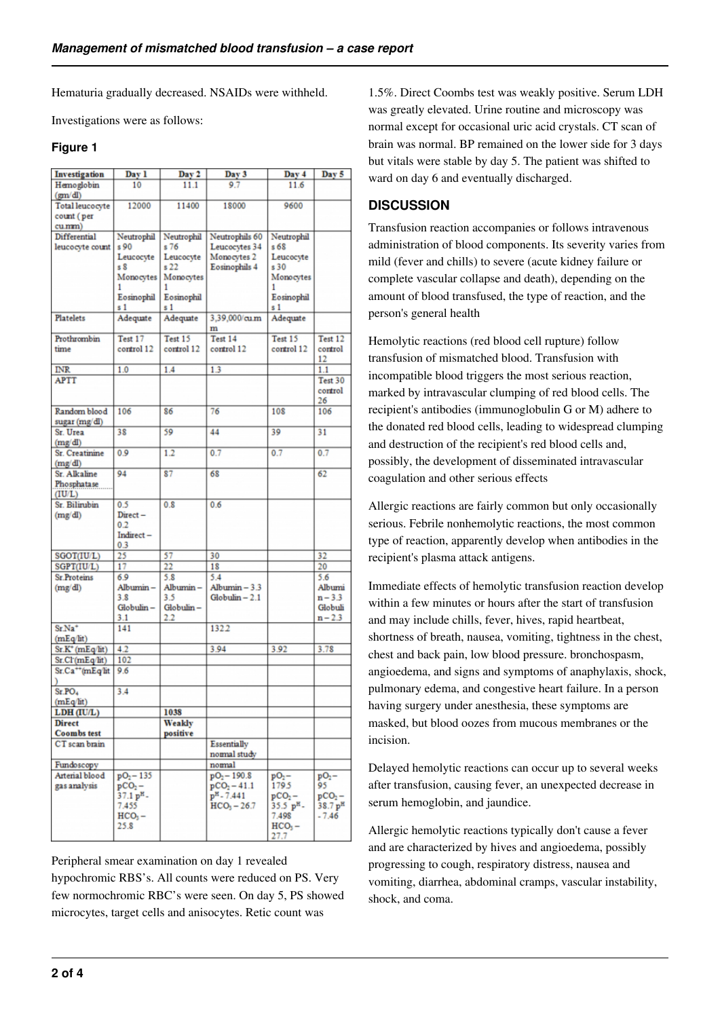Hematuria gradually decreased. NSAIDs were withheld.

Investigations were as follows:

#### **Figure 1**

| Investigation                   | Day 1                | Day 2           | Day 3                             | Day 4                            | Day 5                           |
|---------------------------------|----------------------|-----------------|-----------------------------------|----------------------------------|---------------------------------|
| Hemoglobin                      | 10                   | 11.1            | 9.7                               | 11.6                             |                                 |
| (gm/dl)<br>Total leucocyte      | 12000                | 11400           | 18000                             | 9600                             |                                 |
| count (per                      |                      |                 |                                   |                                  |                                 |
| cu.mm)                          |                      |                 |                                   |                                  |                                 |
| Differential                    | Neutrophil           | Neutrophil      | Neutrophils 60                    | Neutrophil                       |                                 |
| leucocyte count                 | s 90                 | s 76            | Leucocytes 34                     | s 68                             |                                 |
|                                 | Leucocyte            | Leucocyte       | Monocytes 2                       | Leucocyte                        |                                 |
|                                 | s S                  | s <sub>22</sub> | Eosinophils 4                     | s 30                             |                                 |
|                                 | Monocytes<br>1       | Monocytes<br>1  |                                   | Monocytes                        |                                 |
|                                 | Eosinophil           | Eosinophil      |                                   | Eosinophil                       |                                 |
|                                 | s 1                  | s <sub>1</sub>  |                                   | s <sub>1</sub>                   |                                 |
| <b>Platelets</b>                | Adequate             | Adequate        | 3.39,000/cum                      | Adequate                         |                                 |
|                                 |                      |                 | m                                 |                                  |                                 |
| Prothrombin                     | Test 17              | Test 15         | Test 14                           | Test 15                          | Test 12                         |
| time                            | control 12           | control 12      | control 12                        | control 12                       | control                         |
|                                 |                      |                 |                                   |                                  | 12                              |
| <b>INR</b>                      | 1.0                  | 1.4             | 1.3                               |                                  | 1.1                             |
| <b>APTT</b>                     |                      |                 |                                   |                                  | Test 30<br>control              |
|                                 |                      |                 |                                   |                                  | 26                              |
| Random blood                    | 106                  | 86              | 76                                | 108                              | 106                             |
| sugar (mg/dl)                   |                      |                 |                                   |                                  |                                 |
| Sr. Urea                        | 38                   | 59              | 44                                | 39                               | 31                              |
| (mg/dl)                         |                      |                 |                                   |                                  |                                 |
| Sr. Creatinine                  | 0.9                  | 1.2             | 0.7                               | 0.7                              | 0.7                             |
| (mg/dl)                         |                      |                 |                                   |                                  |                                 |
| Sr. Alkaline                    | 94                   | 87              | 68                                |                                  | 62                              |
| Phosphatase<br>(IU/L)           |                      |                 |                                   |                                  |                                 |
| Sr. Bilirubin                   | 0.5                  | 0 <sup>8</sup>  | 0.6                               |                                  |                                 |
| (mg/dl)                         | $Direct -$           |                 |                                   |                                  |                                 |
|                                 | 0.2                  |                 |                                   |                                  |                                 |
|                                 | Indirect-            |                 |                                   |                                  |                                 |
|                                 | 0.3                  |                 |                                   |                                  |                                 |
| SGOT(IU/L)                      | 25                   | 57              | 30                                |                                  | 32                              |
| SGPT(IU/L)                      | 17                   | 22              | 18                                |                                  | 20                              |
| <b>Sr.Proteins</b>              | 6.9                  | 5.8             | 5.4                               |                                  | 5.6                             |
| (mg/dl)                         | Albumin-<br>3.8      | Albumin-<br>3.5 | Albumin - 3.3<br>$Globulin - 2.1$ |                                  | Albumi<br>$n - 3.3$             |
|                                 | Globulin-            | Globulin-       |                                   |                                  | Globuli                         |
|                                 | 3.1                  | 2.2             |                                   |                                  | n – 2.3                         |
| Sr.Na <sup>+</sup>              | 141                  |                 | 1322                              |                                  |                                 |
| (mEq/lit)                       |                      |                 |                                   |                                  |                                 |
| $Sr.K^+(mEq/lit)$               | 4.2                  |                 | 3.94                              | 3.92                             | 3.78                            |
| Sr.Cl'(mEq/lit)                 | 102                  |                 |                                   |                                  |                                 |
| Sr.Ca <sup>++</sup> (mEq/lit    | 9.6                  |                 |                                   |                                  |                                 |
|                                 |                      |                 |                                   |                                  |                                 |
| Sr.PO <sub>4</sub><br>(mEq/lit) | 3.4                  |                 |                                   |                                  |                                 |
| LDH (IU/L)                      |                      | 1038            |                                   |                                  |                                 |
| <b>Direct</b>                   |                      | Weakly          |                                   |                                  |                                 |
| <b>Coombs</b> test              |                      | positive        |                                   |                                  |                                 |
| CT scan brain                   |                      |                 | Essentially                       |                                  |                                 |
|                                 |                      |                 | normal study                      |                                  |                                 |
| Fundoscopy                      |                      |                 | normal                            |                                  |                                 |
| Arterial blood                  | pO <sub>2</sub> -135 |                 | $pO2 - 190.8$                     | $pO2$ -                          | $pO_2-$                         |
| gas analysis                    | $pCO2 -$             |                 | $pCO2 - 41.1$                     | 179.5                            | 95                              |
|                                 | 37.1 pH-<br>7.455    |                 | $p^{H} - 7.441$<br>$HCO3 - 26.7$  | $pCO2 -$<br>35.5 pH <sub>-</sub> | $pCO2 -$<br>38.7 p <sup>H</sup> |
|                                 | $HCO3$ –             |                 |                                   | 7.498                            | $-7.46$                         |
|                                 | 25.8                 |                 |                                   | $HCO3$ –                         |                                 |
|                                 |                      |                 |                                   | ד דר                             |                                 |

Peripheral smear examination on day 1 revealed hypochromic RBS's. All counts were reduced on PS. Very few normochromic RBC's were seen. On day 5, PS showed microcytes, target cells and anisocytes. Retic count was

1.5%. Direct Coombs test was weakly positive. Serum LDH was greatly elevated. Urine routine and microscopy was normal except for occasional uric acid crystals. CT scan of brain was normal. BP remained on the lower side for 3 days but vitals were stable by day 5. The patient was shifted to ward on day 6 and eventually discharged.

# **DISCUSSION**

Transfusion reaction accompanies or follows intravenous administration of blood components. Its severity varies from mild (fever and chills) to severe (acute kidney failure or complete vascular collapse and death), depending on the amount of blood transfused, the type of reaction, and the person's general health

Hemolytic reactions (red blood cell rupture) follow transfusion of mismatched blood. Transfusion with incompatible blood triggers the most serious reaction, marked by intravascular clumping of red blood cells. The recipient's antibodies (immunoglobulin G or M) adhere to the donated red blood cells, leading to widespread clumping and destruction of the recipient's red blood cells and, possibly, the development of disseminated intravascular coagulation and other serious effects

Allergic reactions are fairly common but only occasionally serious. Febrile nonhemolytic reactions, the most common type of reaction, apparently develop when antibodies in the recipient's plasma attack antigens.

Immediate effects of hemolytic transfusion reaction develop within a few minutes or hours after the start of transfusion and may include chills, fever, hives, rapid heartbeat, shortness of breath, nausea, vomiting, tightness in the chest, chest and back pain, low blood pressure. bronchospasm, angioedema, and signs and symptoms of anaphylaxis, shock, pulmonary edema, and congestive heart failure. In a person having surgery under anesthesia, these symptoms are masked, but blood oozes from mucous membranes or the incision.

Delayed hemolytic reactions can occur up to several weeks after transfusion, causing fever, an unexpected decrease in serum hemoglobin, and jaundice.

Allergic hemolytic reactions typically don't cause a fever and are characterized by hives and angioedema, possibly progressing to cough, respiratory distress, nausea and vomiting, diarrhea, abdominal cramps, vascular instability, shock, and coma.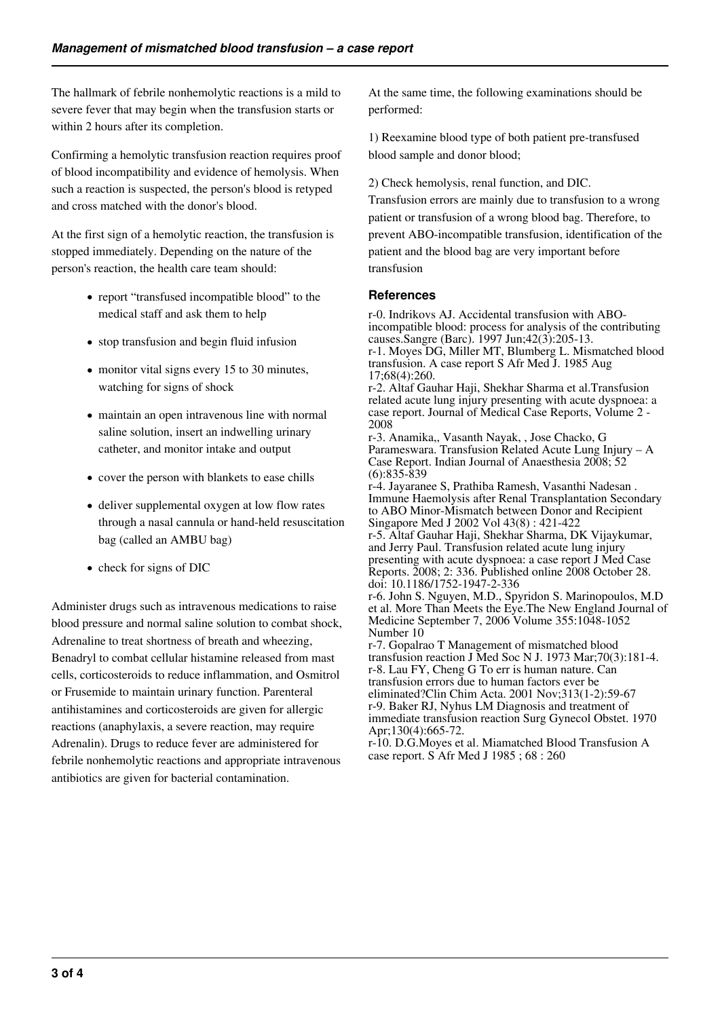The hallmark of febrile nonhemolytic reactions is a mild to severe fever that may begin when the transfusion starts or within 2 hours after its completion.

Confirming a hemolytic transfusion reaction requires proof of blood incompatibility and evidence of hemolysis. When such a reaction is suspected, the person's blood is retyped and cross matched with the donor's blood.

At the first sign of a hemolytic reaction, the transfusion is stopped immediately. Depending on the nature of the person's reaction, the health care team should:

- report "transfused incompatible blood" to the medical staff and ask them to help
- stop transfusion and begin fluid infusion
- monitor vital signs every 15 to 30 minutes, watching for signs of shock
- maintain an open intravenous line with normal saline solution, insert an indwelling urinary catheter, and monitor intake and output
- cover the person with blankets to ease chills
- deliver supplemental oxygen at low flow rates through a nasal cannula or hand-held resuscitation bag (called an AMBU bag)
- check for signs of DIC

Administer drugs such as intravenous medications to raise blood pressure and normal saline solution to combat shock, Adrenaline to treat shortness of breath and wheezing, Benadryl to combat cellular histamine released from mast cells, corticosteroids to reduce inflammation, and Osmitrol or Frusemide to maintain urinary function. Parenteral antihistamines and corticosteroids are given for allergic reactions (anaphylaxis, a severe reaction, may require Adrenalin). Drugs to reduce fever are administered for febrile nonhemolytic reactions and appropriate intravenous antibiotics are given for bacterial contamination.

At the same time, the following examinations should be performed:

1) Reexamine blood type of both patient pre-transfused blood sample and donor blood;

2) Check hemolysis, renal function, and DIC.

Transfusion errors are mainly due to transfusion to a wrong patient or transfusion of a wrong blood bag. Therefore, to prevent ABO-incompatible transfusion, identification of the patient and the blood bag are very important before transfusion

### **References**

r-0. Indrikovs AJ. Accidental transfusion with ABOincompatible blood: process for analysis of the contributing causes.Sangre (Barc). 1997 Jun;42(3):205-13. r-1. Moyes DG, Miller MT, Blumberg L. Mismatched blood transfusion. A case report S Afr Med J. 1985 Aug 17;68(4):260. r-2. Altaf Gauhar Haji, Shekhar Sharma et al.Transfusion related acute lung injury presenting with acute dyspnoea: a case report. Journal of Medical Case Reports, Volume 2 - 2008 r-3. Anamika,, Vasanth Nayak, , Jose Chacko, G Parameswara. Transfusion Related Acute Lung Injury – A Case Report. Indian Journal of Anaesthesia 2008; 52 (6):835-839 r-4. Jayaranee S, Prathiba Ramesh, Vasanthi Nadesan . Immune Haemolysis after Renal Transplantation Secondary to ABO Minor-Mismatch between Donor and Recipient Singapore Med J 2002 Vol 43(8) : 421-422 r-5. Altaf Gauhar Haji, Shekhar Sharma, DK Vijaykumar, and Jerry Paul. Transfusion related acute lung injury presenting with acute dyspnoea: a case report J Med Case Reports. 2008; 2: 336. Published online 2008 October 28. doi: 10.1186/1752-1947-2-336 r-6. John S. Nguyen, M.D., Spyridon S. Marinopoulos, M.D et al. More Than Meets the Eye.The New England Journal of Medicine September 7, 2006 Volume 355:1048-1052 Number 10 r-7. Gopalrao T Management of mismatched blood transfusion reaction J Med Soc N J. 1973 Mar;70(3):181-4. r-8. Lau FY, Cheng G To err is human nature. Can transfusion errors due to human factors ever be eliminated?Clin Chim Acta. 2001 Nov;313(1-2):59-67 r-9. Baker RJ, Nyhus LM Diagnosis and treatment of immediate transfusion reaction Surg Gynecol Obstet. 1970 Apr;130(4):665-72. r-10. D.G.Moyes et al. Miamatched Blood Transfusion A case report. S Afr Med J 1985 ; 68 : 260